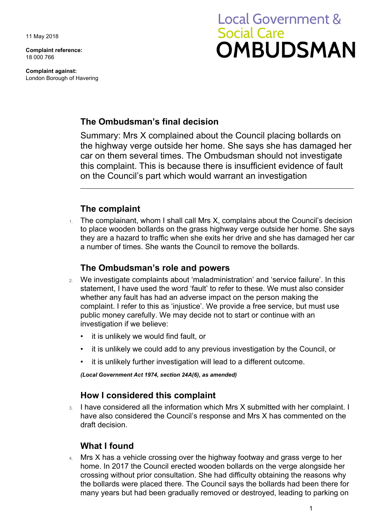11 May 2018

**Complaint reference:**  18 000 766

**Complaint against:**  London Borough of Havering

# **Local Government & Social Care OMBUDSMAN**

## **The Ombudsman's final decision**

Summary: Mrs X complained about the Council placing bollards on the highway verge outside her home. She says she has damaged her car on them several times. The Ombudsman should not investigate this complaint. This is because there is insufficient evidence of fault on the Council's part which would warrant an investigation

### **The complaint**

The complainant, whom I shall call Mrs X, complains about the Council's decision to place wooden bollards on the grass highway verge outside her home. She says they are a hazard to traffic when she exits her drive and she has damaged her car a number of times. She wants the Council to remove the bollards.

#### **The Ombudsman's role and powers**

- 2. We investigate complaints about 'maladministration' and 'service failure'. In this statement, I have used the word 'fault' to refer to these. We must also consider whether any fault has had an adverse impact on the person making the complaint. I refer to this as 'injustice'. We provide a free service, but must use public money carefully. We may decide not to start or continue with an investigation if we believe:
	- it is unlikely we would find fault, or
	- it is unlikely we could add to any previous investigation by the Council, or
	- it is unlikely further investigation will lead to a different outcome.

*(Local Government Act 1974, section 24A(6), as amended)* 

#### **How I considered this complaint**

3. I have considered all the information which Mrs X submitted with her complaint. I have also considered the Council's response and Mrs X has commented on the draft decision.

## **What I found**

 home. In 2017 the Council erected wooden bollards on the verge alongside her 4. Mrs X has a vehicle crossing over the highway footway and grass verge to her crossing without prior consultation. She had difficulty obtaining the reasons why the bollards were placed there. The Council says the bollards had been there for many years but had been gradually removed or destroyed, leading to parking on